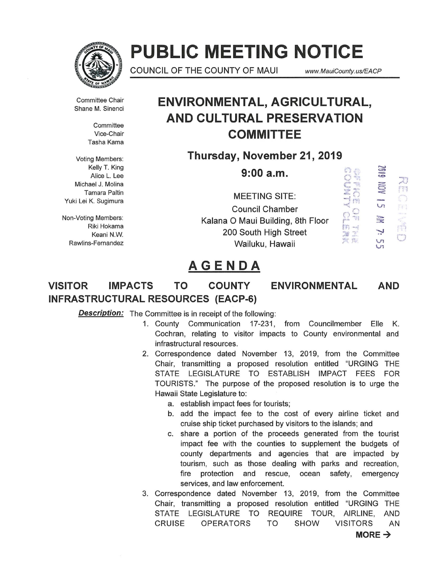

# **PUBLIC MEETING NOTICE**

COUNCIL OF THE COUNTY OF MAUI *www. MauiCounty.us/EACP* 

 $\mathbb{C}$ 0 ...<br>2 ... diam ::: ;  $\frac{2}{3}$  $\frac{6}{3}$  $\frac{1}{2}$ r r: -~.: :-;':.i =~- .,. .- <sup>~</sup><sup>t</sup><sup>f</sup>• '.

Committee Chair Shane M. Sinenci

> **Committee** Vice-Chair Tasha Kama

Voting Members: Kelly T. King Alice L. Lee Michael J. Molina Tamara Paltin Yuki Lei K. Sugimura

Non-Voting Members: Riki Hokama Keani N.W. Rawlins-Fernandez

### **ENVIRONMENTAL, AGRICULTURAL, AND CULTURAL PRESERVATION COMMITTEE**

**Thursday, November 21, 2019** 

**9:00a.m.** 

MEETING SITE: Council Chamber Kalana 0 Maui Building, 8th Floor 200 South High Street Wailuku, Hawaii

610Z [77] ft) 吗 N  $\Box$ **UT** 

- 1'1 ,.... \_ \_,

## **AGENDA**

### **VISITOR IMPACTS TO COUNTY ENVIRONMENTAL AND INFRASTRUCTURAL RESOURCES (EACP-6)**

**Description:** The Committee is in receipt of the following:

- 1. County Communication 17-231, from Councilmember Elle K. Cochran, relating to visitor impacts to County environmental and infrastructural resources.
- 2. Correspondence dated November 13, 2019, from the Committee Chair, transmitting a proposed resolution entitled "URGING THE STATE LEGISLATURE TO ESTABLISH IMPACT FEES FOR TOURISTS." The purpose of the proposed resolution is to urge the Hawaii State Legislature to:
	- a. establish impact fees for tourists;
	- b. add the impact fee to the cost of every airline ticket and cruise ship ticket purchased by visitors to the islands; and
	- c. share a portion of the proceeds generated from the tourist impact fee with the counties to supplement the budgets of county departments and agencies that are impacted by tourism, such as those dealing with parks and recreation, fire protection and rescue, ocean safety, emergency services, and law enforcement.
- 3. Correspondence dated November 13, 2019, from the Committee Chair, transmitting a proposed resolution entitled "URGING THE STATE LEGISLATURE TO REQUIRE TOUR, AIRLINE, AND CRUISE OPERATORS TO SHOW VISITORS AN